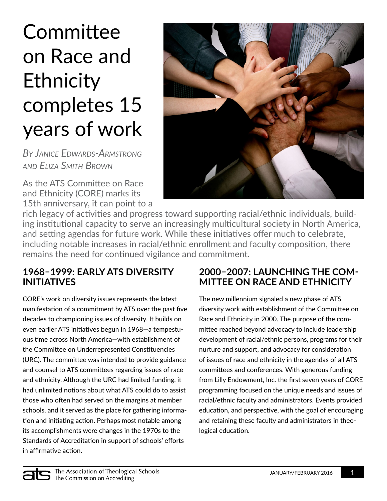# **Committee** on Race and Ethnicity completes 15 years of work

*By Janice Edwards-Armstrong and Eliza Smith Brown*

As the ATS Committee on Race and Ethnicity (CORE) marks its 15th anniversary, it can point to a



rich legacy of activities and progress toward supporting racial/ethnic individuals, building institutional capacity to serve an increasingly multicultural society in North America, and setting agendas for future work. While these initiatives offer much to celebrate, including notable increases in racial/ethnic enrollment and faculty composition, there remains the need for continued vigilance and commitment.

## **1968–1999: Early ATS diversity initiatives**

CORE's work on diversity issues represents the latest manifestation of a commitment by ATS over the past five decades to championing issues of diversity. It builds on even earlier ATS initiatives begun in 1968—a tempestuous time across North America—with establishment of the Committee on Underrepresented Constituencies (URC). The committee was intended to provide guidance and counsel to ATS committees regarding issues of race and ethnicity. Although the URC had limited funding, it had unlimited notions about what ATS could do to assist those who often had served on the margins at member schools, and it served as the place for gathering information and initiating action. Perhaps most notable among its accomplishments were changes in the 1970s to the Standards of Accreditation in support of schools' efforts in affirmative action.

## **2000–2007: Launching the Committee on Race and Ethnicity**

The new millennium signaled a new phase of ATS diversity work with establishment of the Committee on Race and Ethnicity in 2000. The purpose of the committee reached beyond advocacy to include leadership development of racial/ethnic persons, programs for their nurture and support, and advocacy for consideration of issues of race and ethnicity in the agendas of all ATS committees and conferences. With generous funding from Lilly Endowment, Inc. the first seven years of CORE programming focused on the unique needs and issues of racial/ethnic faculty and administrators. Events provided education, and perspective, with the goal of encouraging and retaining these faculty and administrators in theological education.

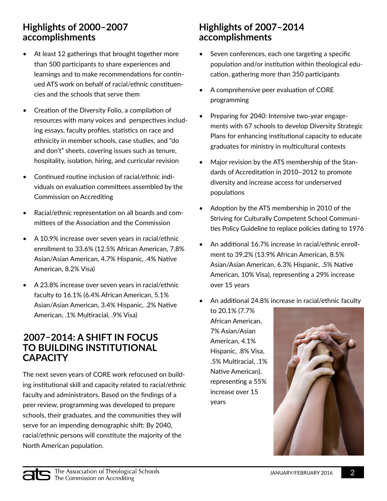## **Highlights of 2000–2007 accomplishments**

- At least 12 gatherings that brought together more than 500 participants to share experiences and learnings and to make recommendations for continued ATS work on behalf of racial/ethnic constituencies and the schools that serve them
- Creation of the Diversity Folio, a compilation of resources with many voices and perspectives including essays, faculty profiles, statistics on race and ethnicity in member schools, case studies, and "do and don't" sheets, covering issues such as tenure, hospitality, isolation, hiring, and curricular revision
- Continued routine inclusion of racial/ethnic individuals on evaluation committees assembled by the Commission on Accrediting
- Racial/ethnic representation on all boards and committees of the Association and the Commission
- A 10.9% increase over seven years in racial/ethnic enrollment to 33.6% (12.5% African American, 7.8% Asian/Asian American, 4.7% Hispanic, .4% Native American, 8.2% Visa)
- A 23.8% increase over seven years in racial/ethnic faculty to 16.1% (6.4% African American, 5.1% Asian/Asian American, 3.4% Hispanic, .2% Native American, .1% Multiracial, .9% Visa)

#### **2007–2014: A shift in focus to building institutional capacity**

The next seven years of CORE work refocused on building institutional skill and capacity related to racial/ethnic faculty and administrators. Based on the findings of a peer review, programming was developed to prepare schools, their graduates, and the communities they will serve for an impending demographic shift: By 2040, racial/ethnic persons will constitute the majority of the North American population.

### **Highlights of 2007–2014 accomplishments**

- Seven conferences, each one targeting a specific population and/or institution within theological education, gathering more than 350 participants
- A comprehensive peer evaluation of CORE programming
- Preparing for 2040: Intensive two-year engagements with 67 schools to develop Diversity Strategic Plans for enhancing institutional capacity to educate graduates for ministry in multicultural contexts
- Major revision by the ATS membership of the Standards of Accreditation in 2010–2012 to promote diversity and increase access for underserved populations
- Adoption by the ATS membership in 2010 of the Striving for Culturally Competent School Communities Policy Guideline to replace policies dating to 1976
- An additional 16.7% increase in racial/ethnic enrollment to 39.2% (13.9% African American, 8.5% Asian/Asian American, 6.3% Hispanic, .5% Native American, 10% Visa), representing a 29% increase over 15 years

• An additional 24.8% increase in racial/ethnic faculty

to 20.1% (7.7% African American, 7% Asian/Asian American, 4.1% Hispanic, .8% Visa, .5% Multiracial, .1% Native American), representing a 55% increase over 15 years



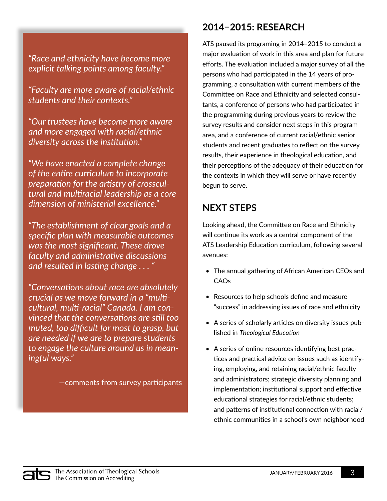#### *"Race and ethnicity have become more explicit talking points among faculty."*

*"Faculty are more aware of racial/ethnic students and their contexts."*

*"Our trustees have become more aware and more engaged with racial/ethnic diversity across the institution."*

*"We have enacted a complete change of the entire curriculum to incorporate preparation for the artistry of crosscultural and multiracial leadership as a core dimension of ministerial excellence."*

*"The establishment of clear goals and a specific plan with measurable outcomes was the most significant. These drove faculty and administrative discussions and resulted in lasting change . . . "*

*"Conversations about race are absolutely crucial as we move forward in a "multicultural, multi-racial" Canada. I am convinced that the conversations are still too muted, too difficult for most to grasp, but are needed if we are to prepare students to engage the culture around us in meaningful ways."*

—comments from survey participants

## **2014–2015: Research**

ATS paused its programing in 2014–2015 to conduct a major evaluation of work in this area and plan for future efforts. The evaluation included a major survey of all the persons who had participated in the 14 years of programming, a consultation with current members of the Committee on Race and Ethnicity and selected consultants, a conference of persons who had participated in the programming during previous years to review the survey results and consider next steps in this program area, and a conference of current racial/ethnic senior students and recent graduates to reflect on the survey results, their experience in theological education, and their perceptions of the adequacy of their education for the contexts in which they will serve or have recently begun to serve.

## **Next steps**

Looking ahead, the Committee on Race and Ethnicity will continue its work as a central component of the ATS Leadership Education curriculum, following several avenues:

- The annual gathering of African American CEOs and CAOs
- Resources to help schools define and measure "success" in addressing issues of race and ethnicity
- A series of scholarly articles on diversity issues published in *Theological Education*
- A series of online resources identifying best practices and practical advice on issues such as identifying, employing, and retaining racial/ethnic faculty and administrators; strategic diversity planning and implementation; institutional support and effective educational strategies for racial/ethnic students; and patterns of institutional connection with racial/ ethnic communities in a school's own neighborhood